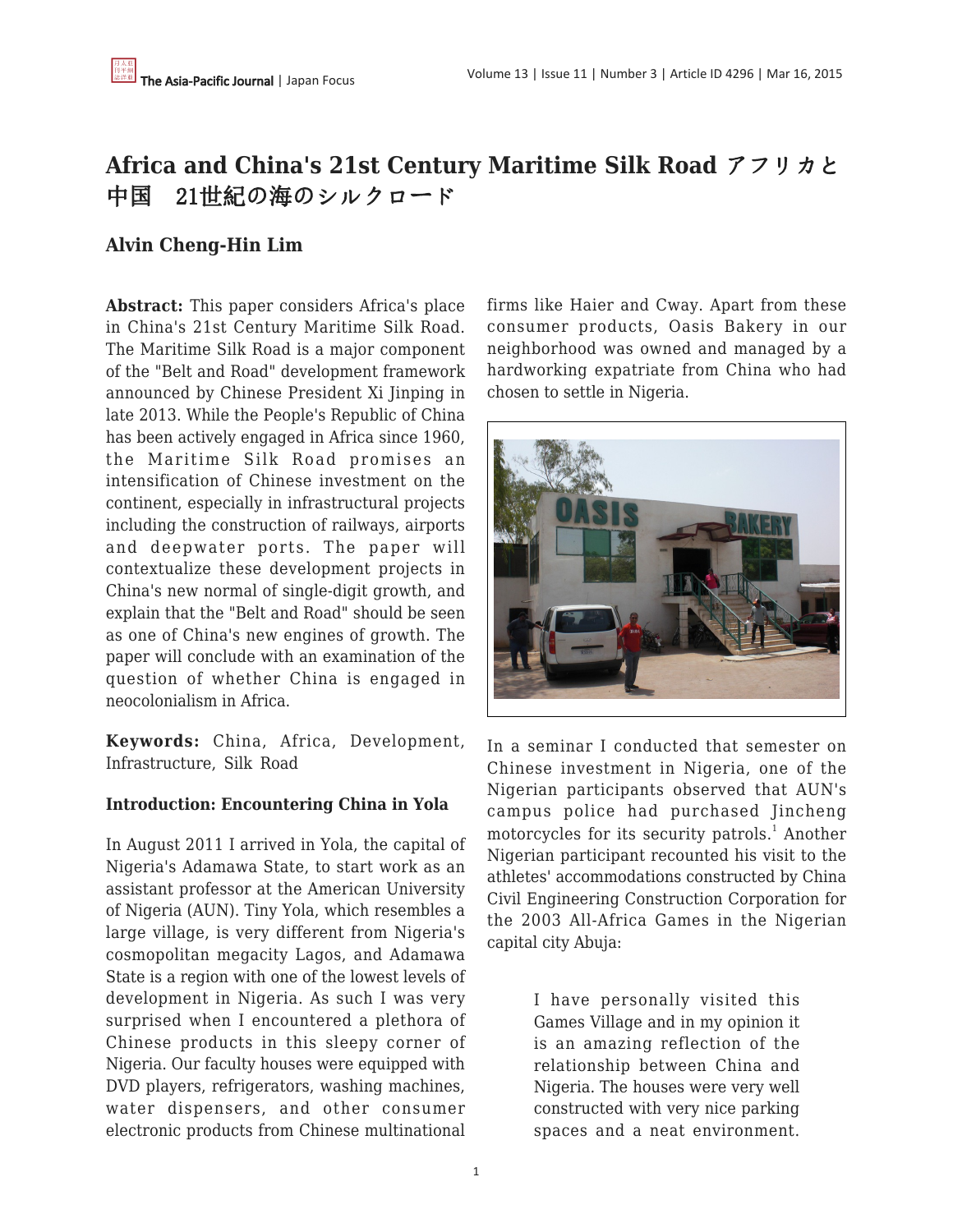# **Africa and China's 21st Century Maritime Silk Road** アフリカと 中国 21世紀の海のシルクロード

# **Alvin Cheng-Hin Lim**

**Abstract:** This paper considers Africa's place in China's 21st Century Maritime Silk Road. The Maritime Silk Road is a major component of the "Belt and Road" development framework announced by Chinese President Xi Jinping in late 2013. While the People's Republic of China has been actively engaged in Africa since 1960, the Maritime Silk Road promises an intensification of Chinese investment on the continent, especially in infrastructural projects including the construction of railways, airports and deepwater ports. The paper will contextualize these development projects in China's new normal of single-digit growth, and explain that the "Belt and Road" should be seen as one of China's new engines of growth. The paper will conclude with an examination of the question of whether China is engaged in neocolonialism in Africa.

**Keywords:** China, Africa, Development, Infrastructure, Silk Road

### **Introduction: Encountering China in Yola**

In August 2011 I arrived in Yola, the capital of Nigeria's Adamawa State, to start work as an assistant professor at the American University of Nigeria (AUN). Tiny Yola, which resembles a large village, is very different from Nigeria's cosmopolitan megacity Lagos, and Adamawa State is a region with one of the lowest levels of development in Nigeria. As such I was very surprised when I encountered a plethora of Chinese products in this sleepy corner of Nigeria. Our faculty houses were equipped with DVD players, refrigerators, washing machines, water dispensers, and other consumer electronic products from Chinese multinational

firms like Haier and Cway. Apart from these consumer products, Oasis Bakery in our neighborhood was owned and managed by a hardworking expatriate from China who had chosen to settle in Nigeria.



In a seminar I conducted that semester on Chinese investment in Nigeria, one of the Nigerian participants observed that AUN's campus police had purchased Jincheng motorcycles for its security patrols.<sup>1</sup> Another Nigerian participant recounted his visit to the athletes' accommodations constructed by China Civil Engineering Construction Corporation for the 2003 All-Africa Games in the Nigerian capital city Abuja:

> I have personally visited this Games Village and in my opinion it is an amazing reflection of the relationship between China and Nigeria. The houses were very well constructed with very nice parking spaces and a neat environment.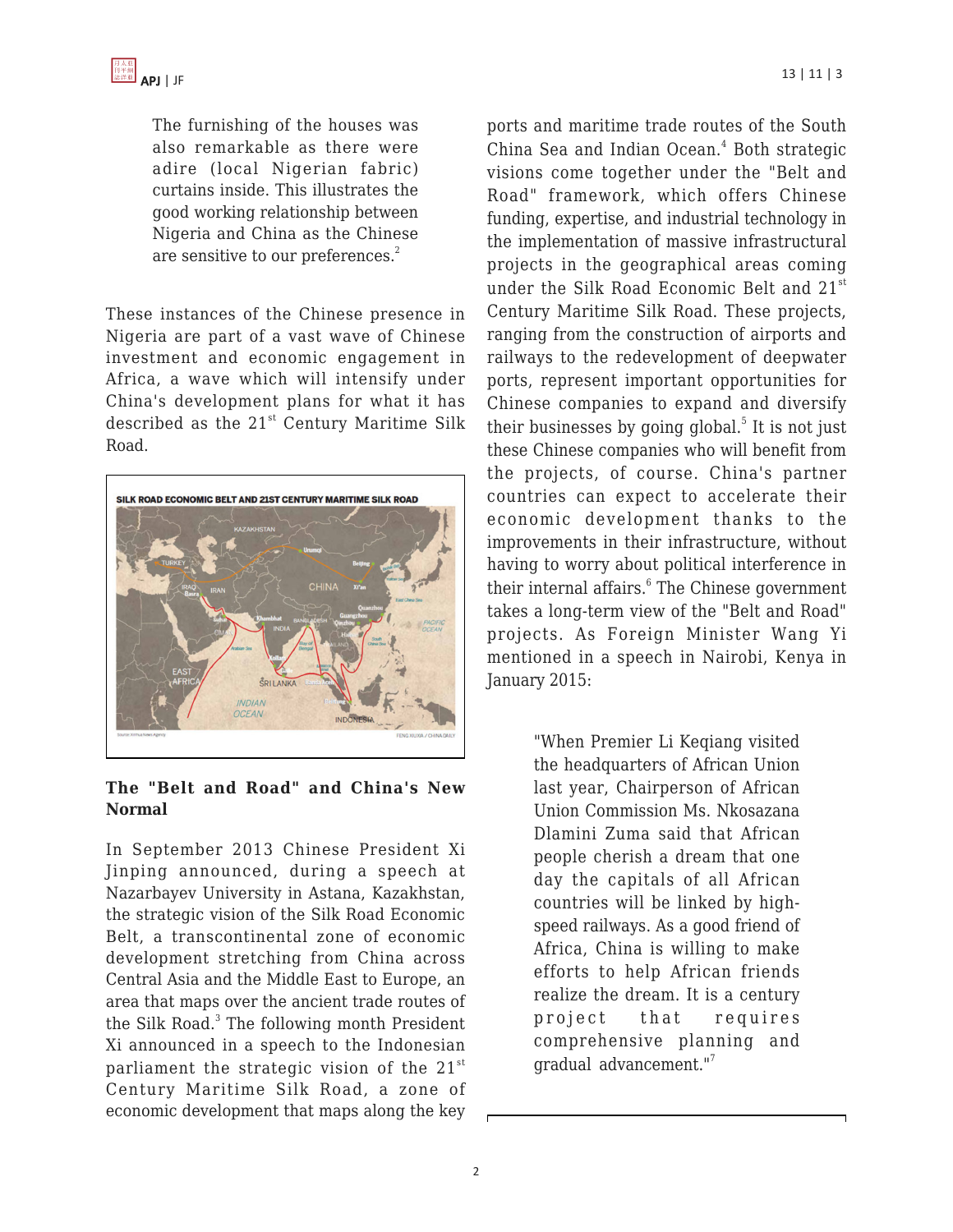The furnishing of the houses was also remarkable as there were adire (local Nigerian fabric) curtains inside. This illustrates the good working relationship between Nigeria and China as the Chinese are sensitive to our preferences.<sup>2</sup>

These instances of the Chinese presence in Nigeria are part of a vast wave of Chinese investment and economic engagement in Africa, a wave which will intensify under China's development plans for what it has described as the  $21^{st}$  Century Maritime Silk Road.



## **The "Belt and Road" and China's New Normal**

In September 2013 Chinese President Xi Jinping announced, during a speech at Nazarbayev University in Astana, Kazakhstan, the strategic vision of the Silk Road Economic Belt, a transcontinental zone of economic development stretching from China across Central Asia and the Middle East to Europe, an area that maps over the ancient trade routes of the Silk Road.<sup>3</sup> The following month President Xi announced in a speech to the Indonesian parliament the strategic vision of the  $21^{st}$ Century Maritime Silk Road, a zone of economic development that maps along the key

ports and maritime trade routes of the South China Sea and Indian Ocean.<sup>4</sup> Both strategic visions come together under the "Belt and Road" framework, which offers Chinese funding, expertise, and industrial technology in the implementation of massive infrastructural projects in the geographical areas coming under the Silk Road Economic Belt and 21<sup>st</sup> Century Maritime Silk Road. These projects, ranging from the construction of airports and railways to the redevelopment of deepwater ports, represent important opportunities for Chinese companies to expand and diversify their businesses by going global.<sup>5</sup> It is not just these Chinese companies who will benefit from the projects, of course. China's partner countries can expect to accelerate their economic development thanks to the improvements in their infrastructure, without having to worry about political interference in their internal affairs.<sup>6</sup> The Chinese government takes a long-term view of the "Belt and Road" projects. As Foreign Minister Wang Yi mentioned in a speech in Nairobi, Kenya in January 2015:

> "When Premier Li Keqiang visited the headquarters of African Union last year, Chairperson of African Union Commission Ms. Nkosazana Dlamini Zuma said that African people cherish a dream that one day the capitals of all African countries will be linked by highspeed railways. As a good friend of Africa, China is willing to make efforts to help African friends realize the dream. It is a century project that requires comprehensive planning and gradual advancement."<sup>7</sup>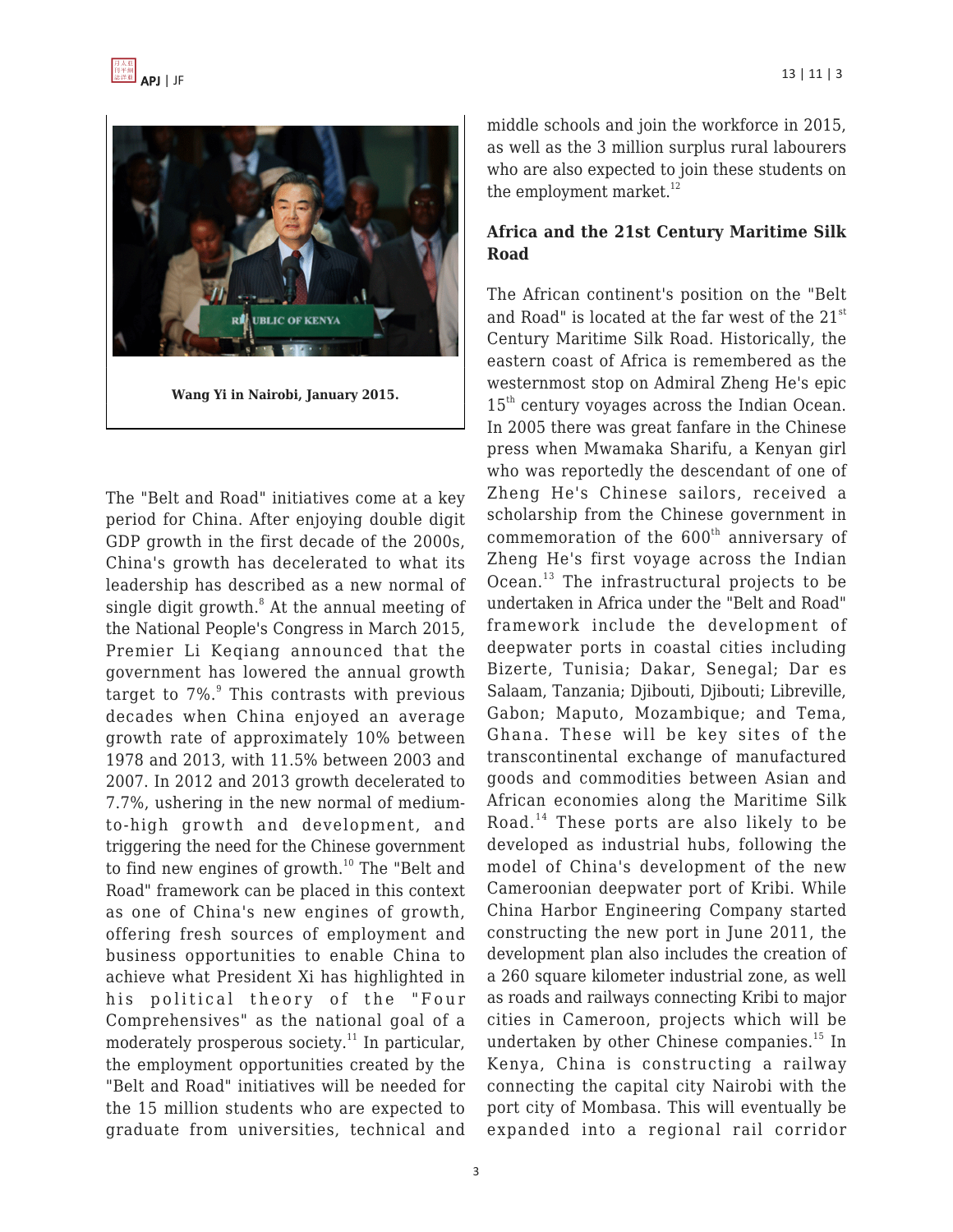



The "Belt and Road" initiatives come at a key period for China. After enjoying double digit GDP growth in the first decade of the 2000s, China's growth has decelerated to what its leadership has described as a new normal of single digit growth.<sup>8</sup> At the annual meeting of the National People's Congress in March 2015, Premier Li Keqiang announced that the government has lowered the annual growth target to 7%.<sup>9</sup> This contrasts with previous decades when China enjoyed an average growth rate of approximately 10% between 1978 and 2013, with 11.5% between 2003 and 2007. In 2012 and 2013 growth decelerated to 7.7%, ushering in the new normal of mediumto-high growth and development, and triggering the need for the Chinese government to find new engines of growth. $10$  The "Belt and Road" framework can be placed in this context as one of China's new engines of growth, offering fresh sources of employment and business opportunities to enable China to achieve what President Xi has highlighted in his political theory of the "Four Comprehensives" as the national goal of a moderately prosperous society.<sup>11</sup> In particular, the employment opportunities created by the "Belt and Road" initiatives will be needed for the 15 million students who are expected to graduate from universities, technical and middle schools and join the workforce in 2015, as well as the 3 million surplus rural labourers who are also expected to join these students on the employment market. $12$ 

## **Africa and the 21st Century Maritime Silk Road**

The African continent's position on the "Belt and Road" is located at the far west of the 21<sup>st</sup> Century Maritime Silk Road. Historically, the eastern coast of Africa is remembered as the westernmost stop on Admiral Zheng He's epic 15<sup>th</sup> century voyages across the Indian Ocean. In 2005 there was great fanfare in the Chinese press when Mwamaka Sharifu, a Kenyan girl who was reportedly the descendant of one of Zheng He's Chinese sailors, received a scholarship from the Chinese government in commemoration of the  $600<sup>th</sup>$  anniversary of Zheng He's first voyage across the Indian Ocean.<sup>13</sup> The infrastructural projects to be undertaken in Africa under the "Belt and Road" framework include the development of deepwater ports in coastal cities including Bizerte, Tunisia; Dakar, Senegal; Dar es Salaam, Tanzania; Djibouti, Djibouti; Libreville, Gabon; Maputo, Mozambique; and Tema, Ghana. These will be key sites of the transcontinental exchange of manufactured goods and commodities between Asian and African economies along the Maritime Silk Road.<sup>14</sup> These ports are also likely to be developed as industrial hubs, following the model of China's development of the new Cameroonian deepwater port of Kribi. While China Harbor Engineering Company started constructing the new port in June 2011, the development plan also includes the creation of a 260 square kilometer industrial zone, as well as roads and railways connecting Kribi to major cities in Cameroon, projects which will be undertaken by other Chinese companies. $15$  In Kenya, China is constructing a railway connecting the capital city Nairobi with the port city of Mombasa. This will eventually be expanded into a regional rail corridor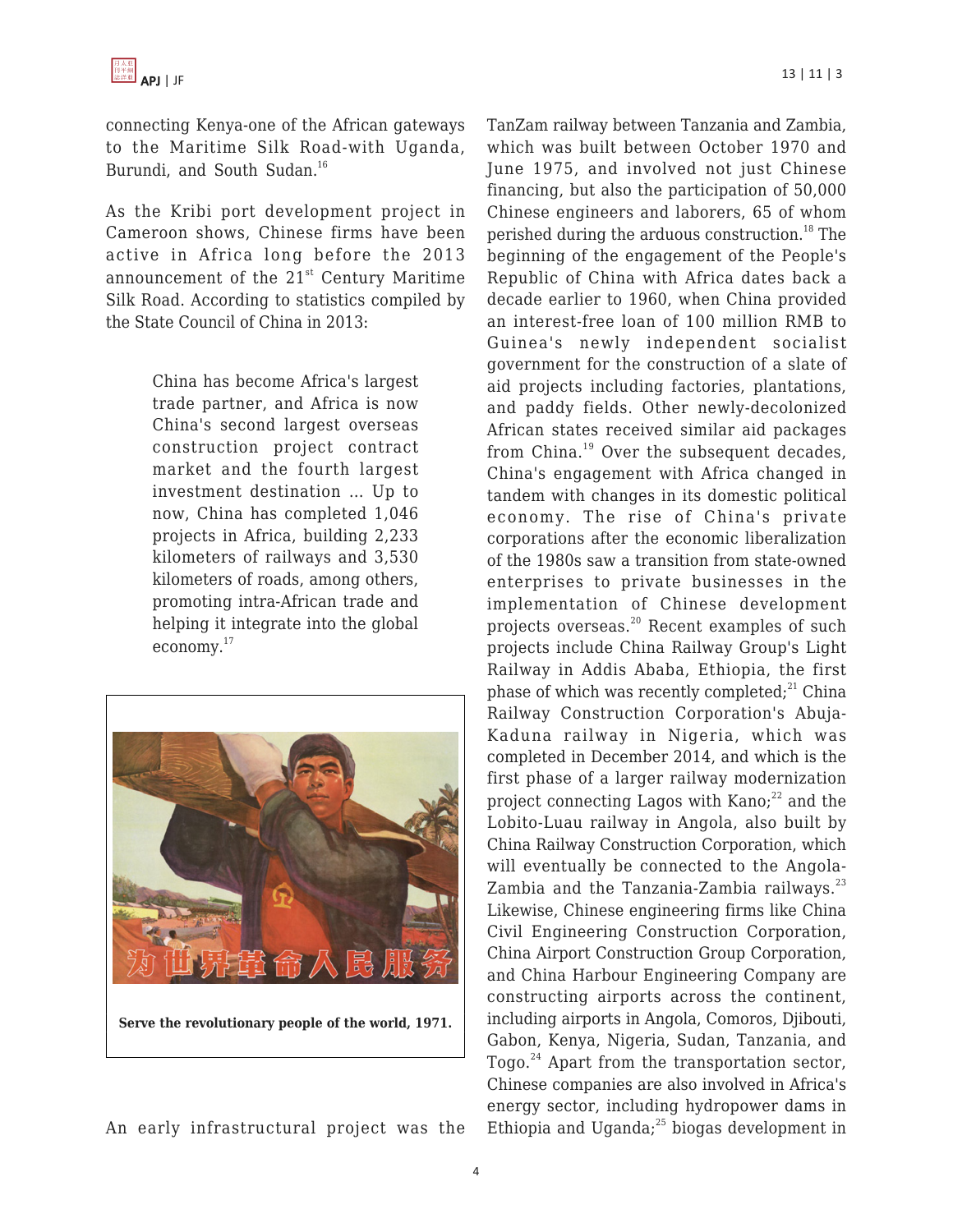connecting Kenya-one of the African gateways to the Maritime Silk Road-with Uganda, Burundi, and South Sudan.<sup>16</sup>

As the Kribi port development project in Cameroon shows, Chinese firms have been active in Africa long before the 2013 announcement of the  $21<sup>st</sup>$  Century Maritime Silk Road. According to statistics compiled by the State Council of China in 2013:

> China has become Africa's largest trade partner, and Africa is now China's second largest overseas construction project contract market and the fourth largest investment destination … Up to now, China has completed 1,046 projects in Africa, building 2,233 kilometers of railways and 3,530 kilometers of roads, among others, promoting intra-African trade and helping it integrate into the global economy.<sup>17</sup>



An early infrastructural project was the

TanZam railway between Tanzania and Zambia, which was built between October 1970 and June 1975, and involved not just Chinese financing, but also the participation of 50,000 Chinese engineers and laborers, 65 of whom perished during the arduous construction.<sup>18</sup> The beginning of the engagement of the People's Republic of China with Africa dates back a decade earlier to 1960, when China provided an interest-free loan of 100 million RMB to Guinea's newly independent socialist government for the construction of a slate of aid projects including factories, plantations, and paddy fields. Other newly-decolonized African states received similar aid packages from China.<sup>19</sup> Over the subsequent decades, China's engagement with Africa changed in tandem with changes in its domestic political economy. The rise of China's private corporations after the economic liberalization of the 1980s saw a transition from state-owned enterprises to private businesses in the implementation of Chinese development projects overseas.<sup>20</sup> Recent examples of such projects include China Railway Group's Light Railway in Addis Ababa, Ethiopia, the first phase of which was recently completed; $^{21}$  China Railway Construction Corporation's Abuja-Kaduna railway in Nigeria, which was completed in December 2014, and which is the first phase of a larger railway modernization project connecting Lagos with Kano; $^{22}$  and the Lobito-Luau railway in Angola, also built by China Railway Construction Corporation, which will eventually be connected to the Angola-Zambia and the Tanzania-Zambia railways.<sup>23</sup> Likewise, Chinese engineering firms like China Civil Engineering Construction Corporation, China Airport Construction Group Corporation, and China Harbour Engineering Company are constructing airports across the continent, including airports in Angola, Comoros, Djibouti, Gabon, Kenya, Nigeria, Sudan, Tanzania, and Togo.<sup>24</sup> Apart from the transportation sector, Chinese companies are also involved in Africa's energy sector, including hydropower dams in Ethiopia and Uganda; $^{25}$  biogas development in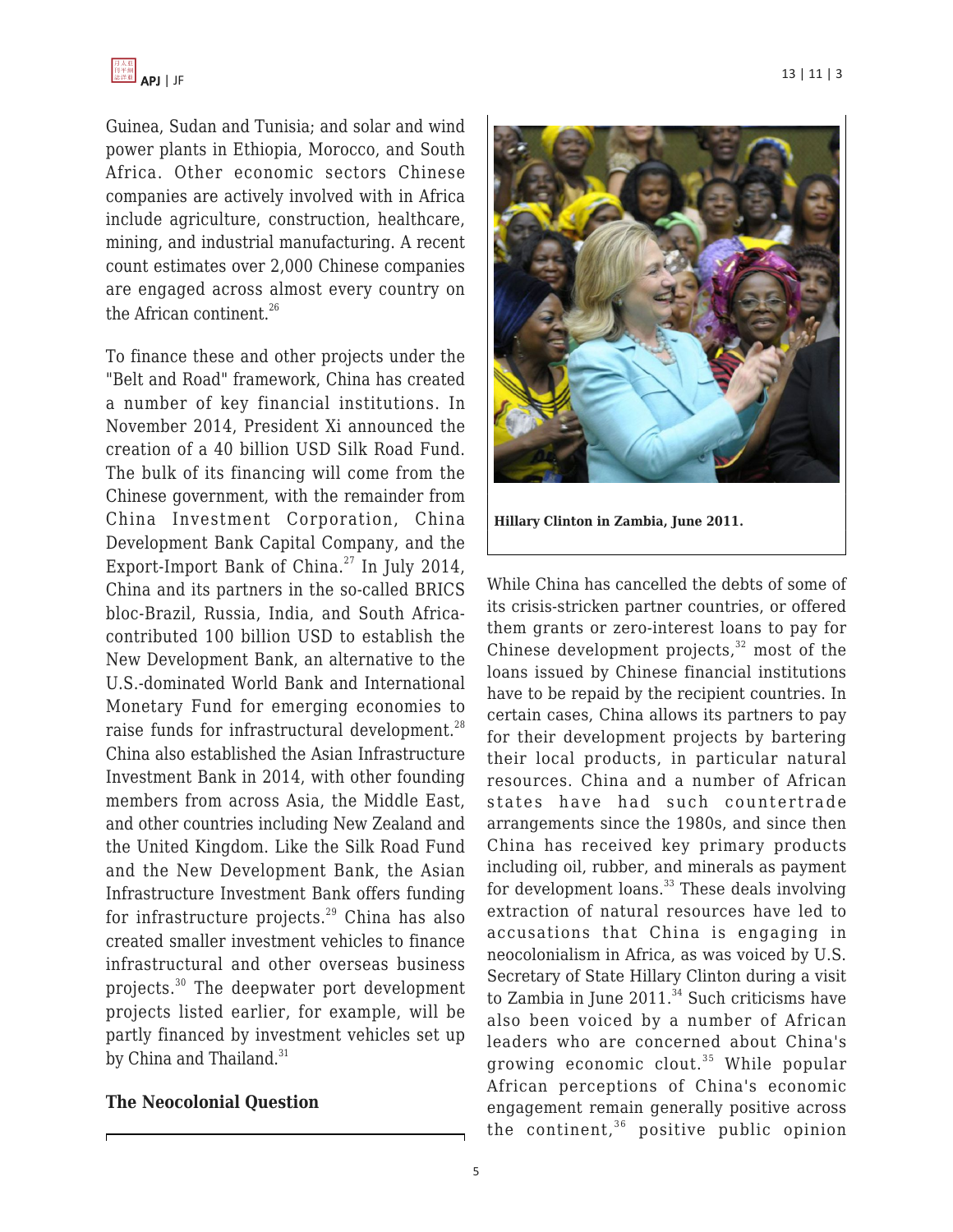

Guinea, Sudan and Tunisia; and solar and wind power plants in Ethiopia, Morocco, and South Africa. Other economic sectors Chinese companies are actively involved with in Africa include agriculture, construction, healthcare, mining, and industrial manufacturing. A recent count estimates over 2,000 Chinese companies are engaged across almost every country on the African continent. $26$ 

To finance these and other projects under the "Belt and Road" framework, China has created a number of key financial institutions. In November 2014, President Xi announced the creation of a 40 billion USD Silk Road Fund. The bulk of its financing will come from the Chinese government, with the remainder from China Investment Corporation, China Development Bank Capital Company, and the Export-Import Bank of China.<sup>27</sup> In July 2014, China and its partners in the so-called BRICS bloc-Brazil, Russia, India, and South Africacontributed 100 billion USD to establish the New Development Bank, an alternative to the U.S.-dominated World Bank and International Monetary Fund for emerging economies to raise funds for infrastructural development.<sup>28</sup> China also established the Asian Infrastructure Investment Bank in 2014, with other founding members from across Asia, the Middle East, and other countries including New Zealand and the United Kingdom. Like the Silk Road Fund and the New Development Bank, the Asian Infrastructure Investment Bank offers funding for infrastructure projects. $^{29}$  China has also created smaller investment vehicles to finance infrastructural and other overseas business projects.<sup>30</sup> The deepwater port development projects listed earlier, for example, will be partly financed by investment vehicles set up by China and Thailand. $31$ 

### **The Neocolonial Question**



**Hillary Clinton in Zambia, June 2011.**

While China has cancelled the debts of some of its crisis-stricken partner countries, or offered them grants or zero-interest loans to pay for Chinese development projects, $32 \text{ most of the}$ loans issued by Chinese financial institutions have to be repaid by the recipient countries. In certain cases, China allows its partners to pay for their development projects by bartering their local products, in particular natural resources. China and a number of African states have had such countertrade arrangements since the 1980s, and since then China has received key primary products including oil, rubber, and minerals as payment for development loans. $33$  These deals involving extraction of natural resources have led to accusations that China is engaging in neocolonialism in Africa, as was voiced by U.S. Secretary of State Hillary Clinton during a visit to Zambia in June  $2011$ .<sup>34</sup> Such criticisms have also been voiced by a number of African leaders who are concerned about China's growing economic clout.<sup>35</sup> While popular African perceptions of China's economic engagement remain generally positive across the continent, $36$  positive public opinion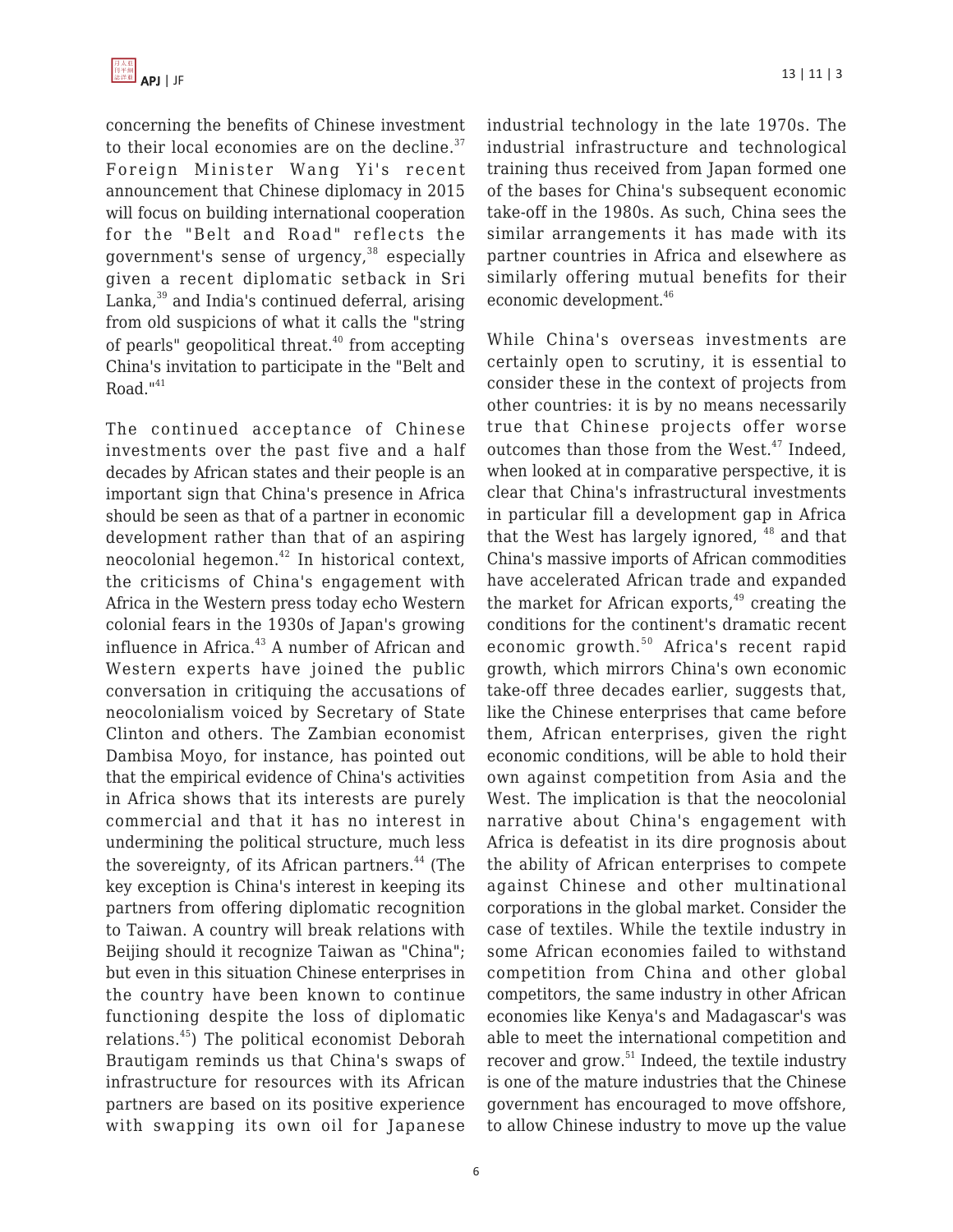

concerning the benefits of Chinese investment to their local economies are on the decline. $37$ Foreign Minister Wang Yi's recent announcement that Chinese diplomacy in 2015 will focus on building international cooperation for the "Belt and Road" reflects the government's sense of urgency, $38$  especially given a recent diplomatic setback in Sri Lanka,<sup>39</sup> and India's continued deferral, arising from old suspicions of what it calls the "string of pearls" geopolitical threat. $40$  from accepting China's invitation to participate in the "Belt and  $Road.$ <sup> $n41$ </sup>

The continued acceptance of Chinese investments over the past five and a half decades by African states and their people is an important sign that China's presence in Africa should be seen as that of a partner in economic development rather than that of an aspiring neocolonial hegemon.<sup>42</sup> In historical context, the criticisms of China's engagement with Africa in the Western press today echo Western colonial fears in the 1930s of Japan's growing influence in Africa.<sup>43</sup> A number of African and Western experts have joined the public conversation in critiquing the accusations of neocolonialism voiced by Secretary of State Clinton and others. The Zambian economist Dambisa Moyo, for instance, has pointed out that the empirical evidence of China's activities in Africa shows that its interests are purely commercial and that it has no interest in undermining the political structure, much less the sovereignty, of its African partners.<sup>44</sup> (The key exception is China's interest in keeping its partners from offering diplomatic recognition to Taiwan. A country will break relations with Beijing should it recognize Taiwan as "China"; but even in this situation Chinese enterprises in the country have been known to continue functioning despite the loss of diplomatic relations.<sup>45</sup>) The political economist Deborah Brautigam reminds us that China's swaps of infrastructure for resources with its African partners are based on its positive experience with swapping its own oil for Japanese industrial technology in the late 1970s. The industrial infrastructure and technological training thus received from Japan formed one of the bases for China's subsequent economic take-off in the 1980s. As such, China sees the similar arrangements it has made with its partner countries in Africa and elsewhere as similarly offering mutual benefits for their economic development.<sup>46</sup>

While China's overseas investments are certainly open to scrutiny, it is essential to consider these in the context of projects from other countries: it is by no means necessarily true that Chinese projects offer worse outcomes than those from the West.<sup>47</sup> Indeed, when looked at in comparative perspective, it is clear that China's infrastructural investments in particular fill a development gap in Africa that the West has largely ignored,  $48$  and that China's massive imports of African commodities have accelerated African trade and expanded the market for African exports, $49$  creating the conditions for the continent's dramatic recent economic growth.<sup>50</sup> Africa's recent rapid growth, which mirrors China's own economic take-off three decades earlier, suggests that, like the Chinese enterprises that came before them, African enterprises, given the right economic conditions, will be able to hold their own against competition from Asia and the West. The implication is that the neocolonial narrative about China's engagement with Africa is defeatist in its dire prognosis about the ability of African enterprises to compete against Chinese and other multinational corporations in the global market. Consider the case of textiles. While the textile industry in some African economies failed to withstand competition from China and other global competitors, the same industry in other African economies like Kenya's and Madagascar's was able to meet the international competition and recover and grow.<sup>51</sup> Indeed, the textile industry is one of the mature industries that the Chinese government has encouraged to move offshore, to allow Chinese industry to move up the value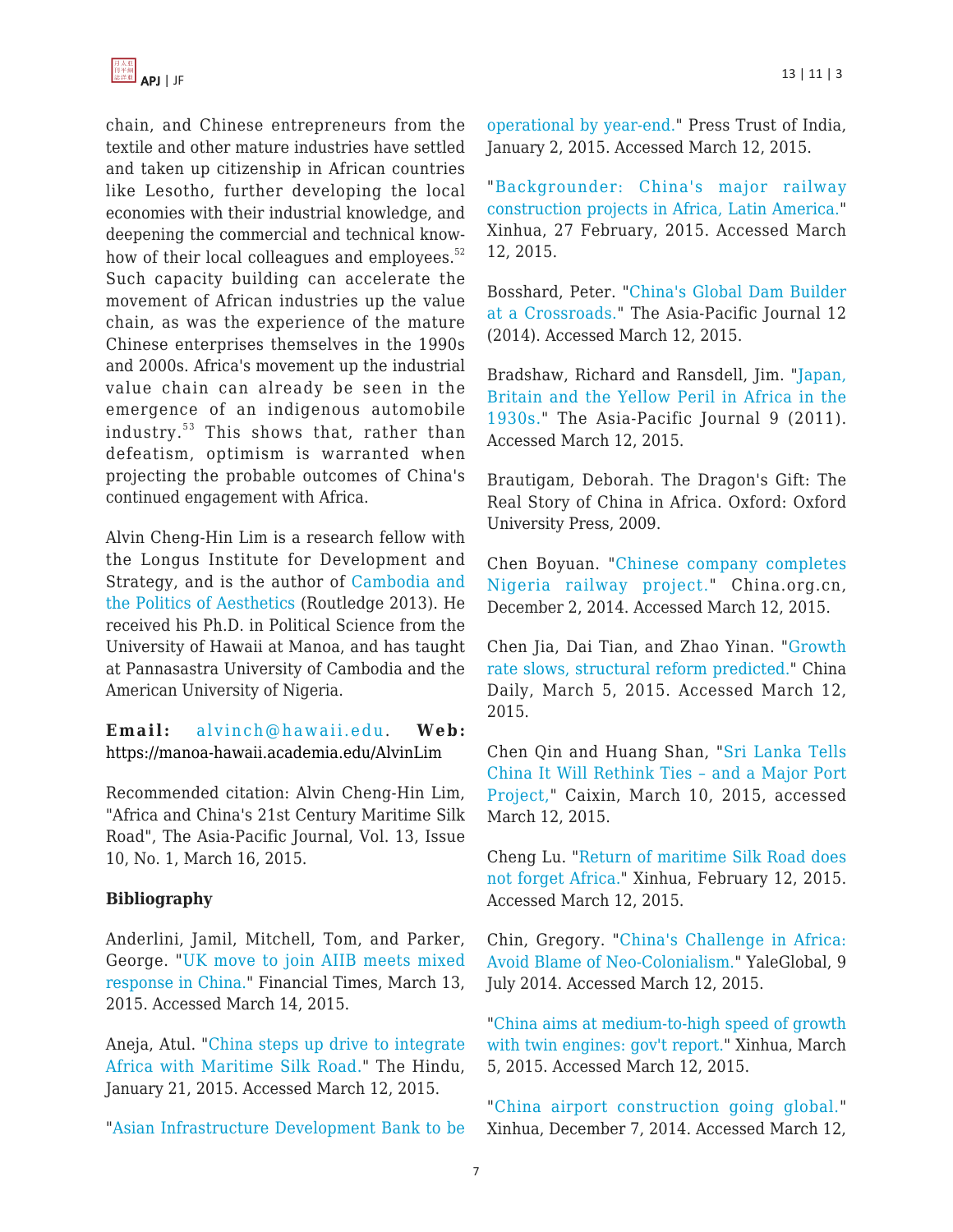

chain, and Chinese entrepreneurs from the textile and other mature industries have settled and taken up citizenship in African countries like Lesotho, further developing the local economies with their industrial knowledge, and deepening the commercial and technical knowhow of their local colleagues and employees.<sup>52</sup> Such capacity building can accelerate the movement of African industries up the value chain, as was the experience of the mature Chinese enterprises themselves in the 1990s and 2000s. Africa's movement up the industrial value chain can already be seen in the emergence of an indigenous automobile industry.<sup>53</sup> This shows that, rather than defeatism, optimism is warranted when projecting the probable outcomes of China's continued engagement with Africa.

Alvin Cheng-Hin Lim is a research fellow with the Longus Institute for Development and Strategy, and is the author of [Cambodia and](http://www.amazon.com/dp/1135132593/?tag=theasipacjo0b-20) [the Politics of Aesthetics](http://www.amazon.com/dp/1135132593/?tag=theasipacjo0b-20) (Routledge 2013). He received his Ph.D. in Political Science from the University of Hawaii at Manoa, and has taught at Pannasastra University of Cambodia and the American University of Nigeria.

**Email:** [alvinch@hawaii.edu.](https://apjjf.org/mailto:alvinch@hawaii.edu) **Web:** <https://manoa-hawaii.academia.edu/AlvinLim>

Recommended citation: Alvin Cheng-Hin Lim, "Africa and China's 21st Century Maritime Silk Road", The Asia-Pacific Journal, Vol. 13, Issue 10, No. 1, March 16, 2015.

#### **Bibliography**

Anderlini, Jamil, Mitchell, Tom, and Parker, George. "[UK move to join AIIB meets mixed](http://www.ft.com/cms/s/0/c3189416-c965-11e4-a2d9-00144feab7de.html) [response in China.](http://www.ft.com/cms/s/0/c3189416-c965-11e4-a2d9-00144feab7de.html)" Financial Times, March 13, 2015. Accessed March 14, 2015.

Aneja, Atul. "[China steps up drive to integrate](http://www.thehindu.com/news/international/world/china-steps-up-drive-to-integrate-africa-with-maritime-silk-road/article6802385.ece) [Africa with Maritime Silk Road."](http://www.thehindu.com/news/international/world/china-steps-up-drive-to-integrate-africa-with-maritime-silk-road/article6802385.ece) The Hindu, January 21, 2015. Accessed March 12, 2015.

"[Asian Infrastructure Development Bank to be](http://articles.economictimes.indiatimes.com/2015-01-02/news/57611692_1_aiib-asian-infrastructure-investment-bank-brics-development-bank)

[operational by year-end.](http://articles.economictimes.indiatimes.com/2015-01-02/news/57611692_1_aiib-asian-infrastructure-investment-bank-brics-development-bank)" Press Trust of India, January 2, 2015. Accessed March 12, 2015.

"[Backgrounder: China's major railway](http://africa.chinadaily.com.cn/world/2015-02/27/content_19669180.htm) [construction projects in Africa, Latin America."](http://africa.chinadaily.com.cn/world/2015-02/27/content_19669180.htm) Xinhua, 27 February, 2015. Accessed March 12, 2015.

Bosshard, Peter. "[China's Global Dam Builder](http://www.japanfocus.org/-Peter-Bosshard/4243) [at a Crossroads."](http://www.japanfocus.org/-Peter-Bosshard/4243) The Asia-Pacific Journal 12 (2014). Accessed March 12, 2015.

Bradshaw, Richard and Ransdell, Jim. "[Japan,](https://apjjf.org/-Jim-Ransdell/3626) [Britain and the Yellow Peril in Africa in the](https://apjjf.org/-Jim-Ransdell/3626) [1930s.](https://apjjf.org/-Jim-Ransdell/3626)" The Asia-Pacific Journal 9 (2011). Accessed March 12, 2015.

Brautigam, Deborah. The Dragon's Gift: The Real Story of China in Africa. Oxford: Oxford University Press, 2009.

Chen Boyuan. "[Chinese company completes](http://china.org.cn/business/2014-12/02/content_34207832.htm) [Nigeria railway project.](http://china.org.cn/business/2014-12/02/content_34207832.htm)" China.org.cn, December 2, 2014. Accessed March 12, 2015.

Chen Jia, Dai Tian, and Zhao Yinan. "[Growth](http://www.chinadaily.com.cn/china/2015twosession/2015-03/05/content_19723073.htm) [rate slows, structural reform predicted."](http://www.chinadaily.com.cn/china/2015twosession/2015-03/05/content_19723073.htm) China Daily, March 5, 2015. Accessed March 12, 2015.

Chen Qin and Huang Shan, "[Sri Lanka Tells](http://english.caixin.com/2015-03-10/100789883.html) [China It Will Rethink Ties – and a Major Port](http://english.caixin.com/2015-03-10/100789883.html) [Project,"](http://english.caixin.com/2015-03-10/100789883.html) Caixin, March 10, 2015, accessed March 12, 2015.

Cheng Lu. "[Return of maritime Silk Road does](http://en.people.cn/business/n/2015/0212/c90778-8850090.html) [not forget Africa.](http://en.people.cn/business/n/2015/0212/c90778-8850090.html)" Xinhua, February 12, 2015. Accessed March 12, 2015.

Chin, Gregory. ["China's Challenge in Africa:](http://yaleglobal.yale.edu/content/china%E2%80%99s-challenge-africa-avoid-blame-neo-colonialism) [Avoid Blame of Neo-Colonialism.](http://yaleglobal.yale.edu/content/china%E2%80%99s-challenge-africa-avoid-blame-neo-colonialism)" YaleGlobal, 9 July 2014. Accessed March 12, 2015.

["China aims at medium-to-high speed of growth](http://news.xinhuanet.com/english/2015-03/05/c_134040096.htm) [with twin engines: gov't report.](http://news.xinhuanet.com/english/2015-03/05/c_134040096.htm)" Xinhua, March 5, 2015. Accessed March 12, 2015.

"[China airport construction going global."](http://news.xinhuanet.com/english/china/2014-12/07/c_133838498.htm) Xinhua, December 7, 2014. Accessed March 12,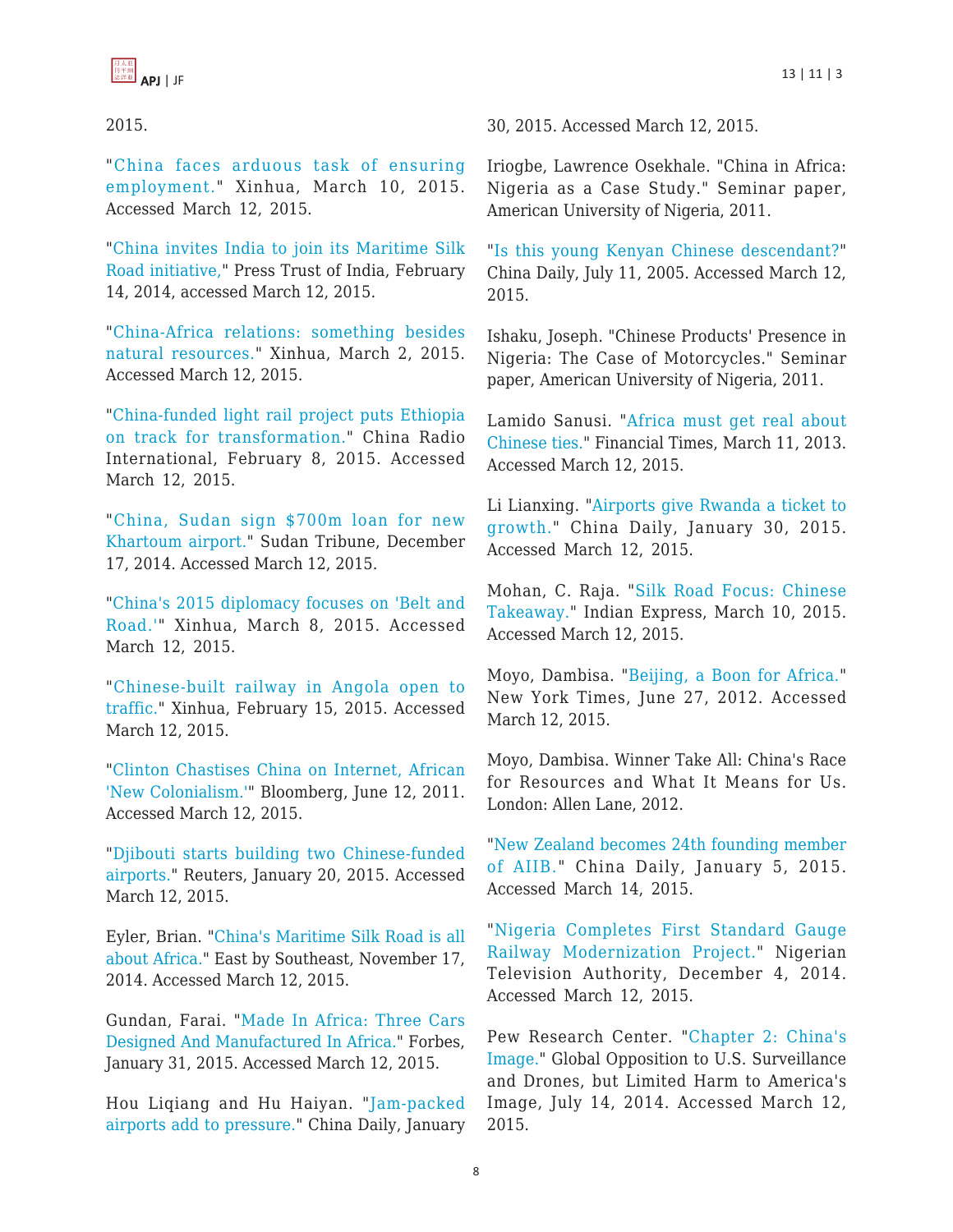

2015.

"[China faces arduous task of ensuring](http://www.globaltimes.cn/content/911130.shtml) [employment.](http://www.globaltimes.cn/content/911130.shtml)" Xinhua, March 10, 2015. Accessed March 12, 2015.

"[China invites India to join its Maritime Silk](http://articles.economictimes.indiatimes.com/2014-02-14/news/47337341_1_msr-special-representative-yang-jiechi-border-talks) [Road initiative,"](http://articles.economictimes.indiatimes.com/2014-02-14/news/47337341_1_msr-special-representative-yang-jiechi-border-talks) Press Trust of India, February 14, 2014, accessed March 12, 2015.

"[China-Africa relations: something besides](http://en.people.cn/n/2015/0302/c90780-8855942.html) [natural resources.](http://en.people.cn/n/2015/0302/c90780-8855942.html)" Xinhua, March 2, 2015. Accessed March 12, 2015.

"[China-funded light rail project puts Ethiopia](http://en.people.cn/n/2015/0208/c90000-8847584.html) [on track for transformation."](http://en.people.cn/n/2015/0208/c90000-8847584.html) China Radio International, February 8, 2015. Accessed March 12, 2015.

"[China, Sudan sign \\$700m loan for new](http://www.sudantribune.com/spip.php?article53371) [Khartoum airport."](http://www.sudantribune.com/spip.php?article53371) Sudan Tribune, December 17, 2014. Accessed March 12, 2015.

"[China's 2015 diplomacy focuses on 'Belt and](http://www.globaltimes.cn/content/910765.shtml) [Road.'"](http://www.globaltimes.cn/content/910765.shtml) Xinhua, March 8, 2015. Accessed March 12, 2015.

"[Chinese-built railway in Angola open to](http://en.people.cn/n/2015/0215/c90883-8850822.html) [traffic."](http://en.people.cn/n/2015/0215/c90883-8850822.html) Xinhua, February 15, 2015. Accessed March 12, 2015.

"[Clinton Chastises China on Internet, African](http://www.bloomberg.com/news/articles/2011-06-11/clinton-chastises-china-on-internet-african-new-colonialism-) ['New Colonialism.'](http://www.bloomberg.com/news/articles/2011-06-11/clinton-chastises-china-on-internet-african-new-colonialism-)" Bloomberg, June 12, 2011. Accessed March 12, 2015.

"[Djibouti starts building two Chinese-funded](http://af.reuters.com/article/djiboutiNews/idAFL6N0UZ0PO20150120) [airports."](http://af.reuters.com/article/djiboutiNews/idAFL6N0UZ0PO20150120) Reuters, January 20, 2015. Accessed March 12, 2015.

Eyler, Brian. "[China's Maritime Silk Road is all](http://www.eastbysoutheast.com/chinas-maritime-silk-road-africa/) [about Africa.](http://www.eastbysoutheast.com/chinas-maritime-silk-road-africa/)" East by Southeast, November 17, 2014. Accessed March 12, 2015.

Gundan, Farai. "[Made In Africa: Three Cars](http://www.forbes.com/sites/faraigundan/2015/01/31/made-in-africa-three-cars-designed-and-manufactured-in-africa/) [Designed And Manufactured In Africa."](http://www.forbes.com/sites/faraigundan/2015/01/31/made-in-africa-three-cars-designed-and-manufactured-in-africa/) Forbes, January 31, 2015. Accessed March 12, 2015.

Hou Liqiang and Hu Haiyan. "[Jam-packed](http://africa.chinadaily.com.cn/weekly/2015-01/30/content_19448564.htm) [airports add to pressure.](http://africa.chinadaily.com.cn/weekly/2015-01/30/content_19448564.htm)" China Daily, January 30, 2015. Accessed March 12, 2015.

Iriogbe, Lawrence Osekhale. "China in Africa: Nigeria as a Case Study." Seminar paper, American University of Nigeria, 2011.

"[Is this young Kenyan Chinese descendant?"](http://www.chinadaily.com.cn/english/doc/2005-07/11/content_459090.htm) China Daily, July 11, 2005. Accessed March 12, 2015.

Ishaku, Joseph. "Chinese Products' Presence in Nigeria: The Case of Motorcycles." Seminar paper, American University of Nigeria, 2011.

Lamido Sanusi. "[Africa must get real about](http://www.ft.com/cms/s/0/562692b0-898c-11e2-ad3f-00144feabdc0.html) [Chinese ties."](http://www.ft.com/cms/s/0/562692b0-898c-11e2-ad3f-00144feabdc0.html) Financial Times, March 11, 2013. Accessed March 12, 2015.

Li Lianxing. "[Airports give Rwanda a ticket to](http://africa.chinadaily.com.cn/weekly/2015-01/30/content_19448566.htm) [growth.](http://africa.chinadaily.com.cn/weekly/2015-01/30/content_19448566.htm)" China Daily, January 30, 2015. Accessed March 12, 2015.

Mohan, C. Raja. "[Silk Road Focus: Chinese](http://indianexpress.com/article/opinion/columns/chinese-takeaway-15/) [Takeaway.](http://indianexpress.com/article/opinion/columns/chinese-takeaway-15/)" Indian Express, March 10, 2015. Accessed March 12, 2015.

Moyo, Dambisa. "[Beijing, a Boon for Africa."](http://www.nytimes.com/2012/06/28/opinion/beijing-a-boon-for-africa.html) New York Times, June 27, 2012. Accessed March 12, 2015.

Moyo, Dambisa. Winner Take All: China's Race for Resources and What It Means for Us. London: Allen Lane, 2012.

"[New Zealand becomes 24th founding member](http://europe.chinadaily.com.cn/business/2015-01/05/content_19239131.htm) [of AIIB."](http://europe.chinadaily.com.cn/business/2015-01/05/content_19239131.htm) China Daily, January 5, 2015. Accessed March 14, 2015.

"[Nigeria Completes First Standard Gauge](http://www.nta.ng/2014/12/04/nigeria-completes-first-standard-gauge-railway-modernization-project/) [Railway Modernization Project.](http://www.nta.ng/2014/12/04/nigeria-completes-first-standard-gauge-railway-modernization-project/)" Nigerian Television Authority, December 4, 2014. Accessed March 12, 2015.

Pew Research Center. "[Chapter 2: China's](http://www.pewglobal.org/2014/07/14/chapter-2-chinas-image/) [Image."](http://www.pewglobal.org/2014/07/14/chapter-2-chinas-image/) Global Opposition to U.S. Surveillance and Drones, but Limited Harm to America's Image, July 14, 2014. Accessed March 12, 2015.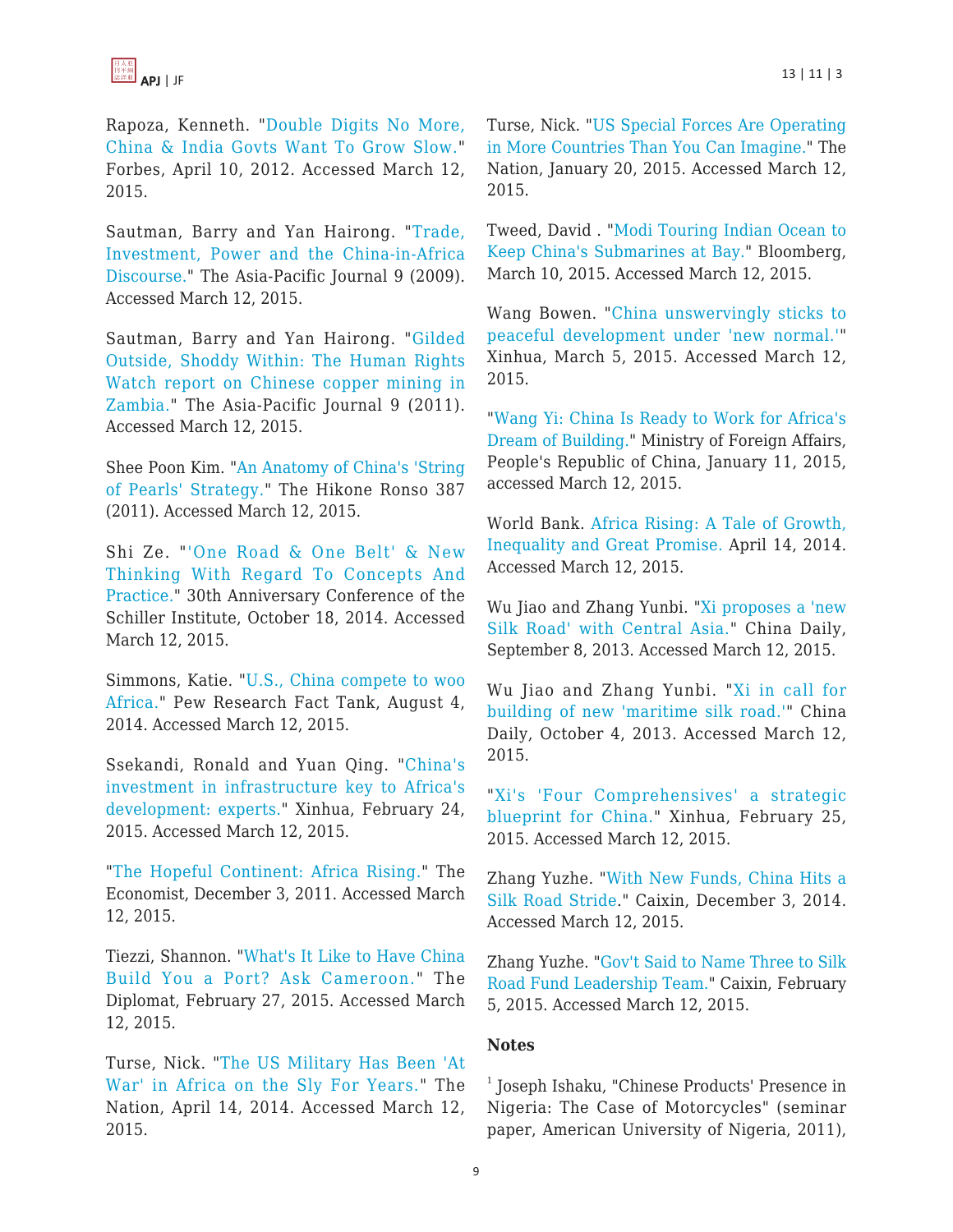

Rapoza, Kenneth. "[Double Digits No More,](http://www.forbes.com/sites/kenrapoza/2012/04/10/double-digits-no-more-china-india-govts-want-to-grow-slow/) [China & India Govts Want To Grow Slow."](http://www.forbes.com/sites/kenrapoza/2012/04/10/double-digits-no-more-china-india-govts-want-to-grow-slow/) Forbes, April 10, 2012. Accessed March 12, 2015.

Sautman, Barry and Yan Hairong. "[Trade,](https://apjjf.org/-Yan-Hairong/3278) [Investment, Power and the China-in-Africa](https://apjjf.org/-Yan-Hairong/3278) [Discourse.](https://apjjf.org/-Yan-Hairong/3278)" The Asia-Pacific Journal 9 (2009). Accessed March 12, 2015.

Sautman, Barry and Yan Hairong. "[Gilded](https://apjjf.org/-Yan-Hairong/3668) [Outside, Shoddy Within: The Human Rights](https://apjjf.org/-Yan-Hairong/3668) [Watch report on Chinese copper mining in](https://apjjf.org/-Yan-Hairong/3668) [Zambia."](https://apjjf.org/-Yan-Hairong/3668) The Asia-Pacific Journal 9 (2011). Accessed March 12, 2015.

Shee Poon Kim. ["An Anatomy of China's 'String](http://www.biwako.shiga-u.ac.jp/eml/Ronso/387/Kim.pdf) [of Pearls' Strategy.](http://www.biwako.shiga-u.ac.jp/eml/Ronso/387/Kim.pdf)" The Hikone Ronso 387 (2011). Accessed March 12, 2015.

Shi Ze. "['One Road & One Belt' & New](http://newparadigm.schillerinstitute.com/media/one-road-and-one-belt-and-new-thinking-with-regard-to-concepts-and-practice/) [Thinking With Regard To Concepts And](http://newparadigm.schillerinstitute.com/media/one-road-and-one-belt-and-new-thinking-with-regard-to-concepts-and-practice/) [Practice."](http://newparadigm.schillerinstitute.com/media/one-road-and-one-belt-and-new-thinking-with-regard-to-concepts-and-practice/) 30th Anniversary Conference of the Schiller Institute, October 18, 2014. Accessed March 12, 2015.

Simmons, Katie. "[U.S., China compete to woo](http://www.pewresearch.org/fact-tank/2014/08/04/u-s-china-compete-to-woo-africa/) [Africa.](http://www.pewresearch.org/fact-tank/2014/08/04/u-s-china-compete-to-woo-africa/)" Pew Research Fact Tank, August 4, 2014. Accessed March 12, 2015.

Ssekandi, Ronald and Yuan Qing. "[China's](http://en.people.cn/n/2015/0224/c90883-8853073.html) [investment in infrastructure key to Africa's](http://en.people.cn/n/2015/0224/c90883-8853073.html) [development: experts."](http://en.people.cn/n/2015/0224/c90883-8853073.html) Xinhua, February 24, 2015. Accessed March 12, 2015.

"[The Hopeful Continent: Africa Rising."](http://www.economist.com/node/21541015) The Economist, December 3, 2011. Accessed March 12, 2015.

Tiezzi, Shannon. "[What's It Like to Have China](http://thediplomat.com/2015/02/whats-it-like-to-have-china-build-you-a-port-ask-cameroon/) [Build You a Port? Ask Cameroon."](http://thediplomat.com/2015/02/whats-it-like-to-have-china-build-you-a-port-ask-cameroon/) The Diplomat, February 27, 2015. Accessed March 12, 2015.

Turse, Nick. "[The US Military Has Been 'At](http://www.thenation.com/article/179324/us-military-has-been-war-africa-sly-years) [War' in Africa on the Sly For Years."](http://www.thenation.com/article/179324/us-military-has-been-war-africa-sly-years) The Nation, April 14, 2014. Accessed March 12, 2015.

Turse, Nick. "[US Special Forces Are Operating](http://www.thenation.com/article/195409/us-special-forces-are-operating-more-countries-you-can-imagine) [in More Countries Than You Can Imagine.](http://www.thenation.com/article/195409/us-special-forces-are-operating-more-countries-you-can-imagine)" The Nation, January 20, 2015. Accessed March 12, 2015.

Tweed, David . "[Modi Touring Indian Ocean to](http://www.bloomberg.com/news/articles/2015-03-09/modi-tours-indian-ocean-to-keep-china-and-its-submarines-at-bay) [Keep China's Submarines at Bay.](http://www.bloomberg.com/news/articles/2015-03-09/modi-tours-indian-ocean-to-keep-china-and-its-submarines-at-bay)" Bloomberg, March 10, 2015. Accessed March 12, 2015.

Wang Bowen. "[China unswervingly sticks to](http://news.xinhuanet.com/english/2015-03/05/c_134039426.htm) [peaceful development under 'new normal.'"](http://news.xinhuanet.com/english/2015-03/05/c_134039426.htm) Xinhua, March 5, 2015. Accessed March 12, 2015.

"[Wang Yi: China Is Ready to Work for Africa's](http://www.fmprc.gov.cn/mfa_eng/wjb_663304/wjbz_663308/activities_663312/t1227709.shtml) [Dream of Building."](http://www.fmprc.gov.cn/mfa_eng/wjb_663304/wjbz_663308/activities_663312/t1227709.shtml) Ministry of Foreign Affairs, People's Republic of China, January 11, 2015, accessed March 12, 2015.

World Bank. [Africa Rising: A Tale of Growth,](http://www.worldbank.org/en/news/feature/2014/04/14/africa-rising-a-tale-of-growth-inequality-and-great-promise) [Inequality and Great Promise.](http://www.worldbank.org/en/news/feature/2014/04/14/africa-rising-a-tale-of-growth-inequality-and-great-promise) April 14, 2014. Accessed March 12, 2015.

Wu Jiao and Zhang Yunbi. ["Xi proposes a 'new](http://usa.chinadaily.com.cn/china/2013-09/08/content_16952304.htm) [Silk Road' with Central Asia.](http://usa.chinadaily.com.cn/china/2013-09/08/content_16952304.htm)" China Daily, September 8, 2013. Accessed March 12, 2015.

Wu Jiao and Zhang Yunbi. "[Xi in call for](http://usa.chinadaily.com.cn/china/2013-10/04/content_17008940.htm) [building of new 'maritime silk road.'](http://usa.chinadaily.com.cn/china/2013-10/04/content_17008940.htm)" China Daily, October 4, 2013. Accessed March 12, 2015.

"[Xi's 'Four Comprehensives' a strategic](http://news.xinhuanet.com/english/china/2015-02/25/c_127517905.htm) [blueprint for China.](http://news.xinhuanet.com/english/china/2015-02/25/c_127517905.htm)" Xinhua, February 25, 2015. Accessed March 12, 2015.

Zhang Yuzhe. "[With New Funds, China Hits a](http://english.caixin.com/2014-12-03/100758419.html) [Silk Road Stride.](http://english.caixin.com/2014-12-03/100758419.html)" Caixin, December 3, 2014. Accessed March 12, 2015.

Zhang Yuzhe. "[Gov't Said to Name Three to Silk](http://english.caixin.com/2015-02-05/100781902.html) [Road Fund Leadership Team.](http://english.caixin.com/2015-02-05/100781902.html)" Caixin, February 5, 2015. Accessed March 12, 2015.

#### **Notes**

1 Joseph Ishaku, "Chinese Products' Presence in Nigeria: The Case of Motorcycles" (seminar paper, American University of Nigeria, 2011),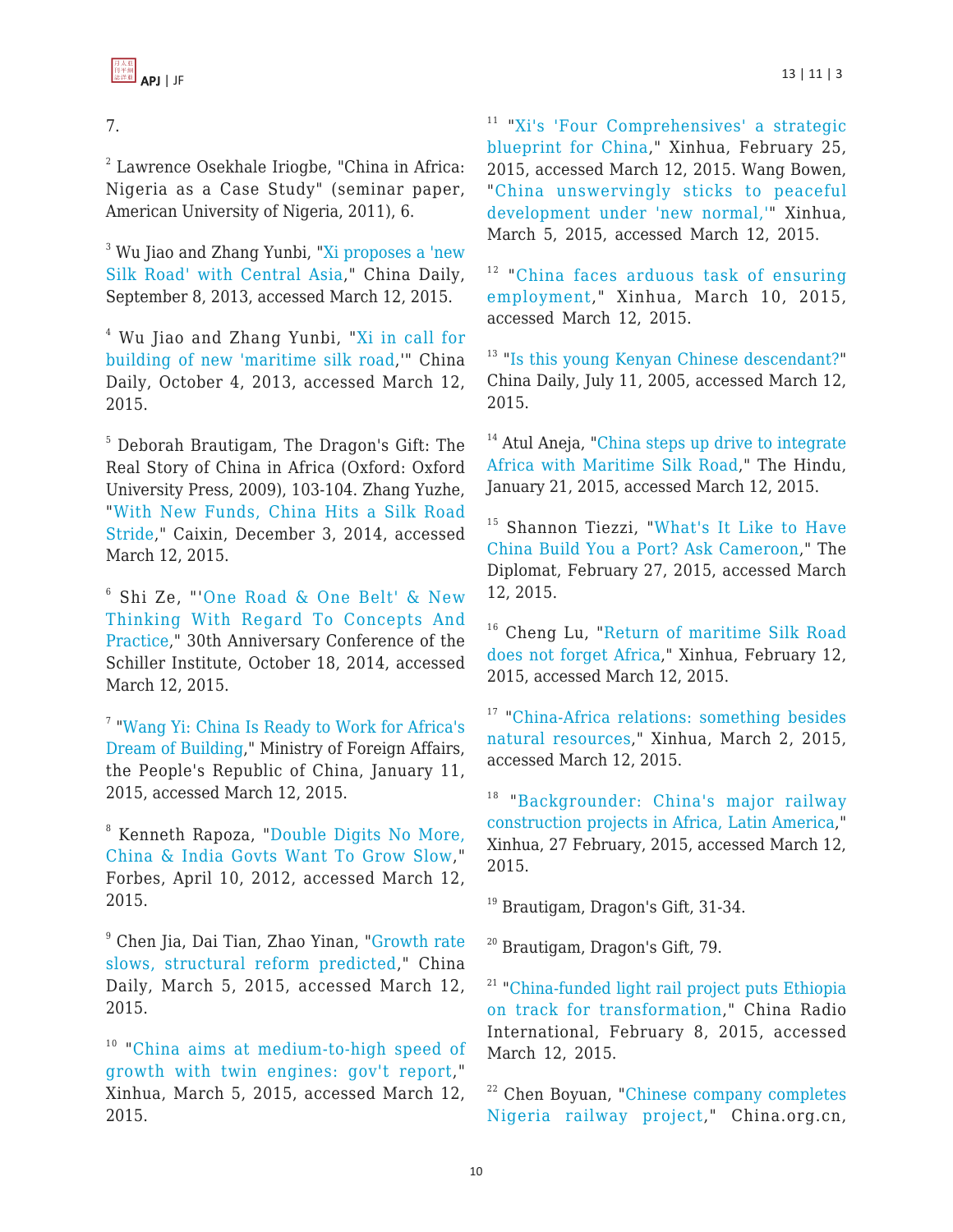

# 7.

 $2^{2}$  Lawrence Osekhale Iriogbe, "China in Africa: Nigeria as a Case Study" (seminar paper, American University of Nigeria, 2011), 6.

 $^3$  Wu Jiao and Zhang Yunbi, "[Xi proposes a 'new](http://usa.chinadaily.com.cn/china/2013-09/08/content_16952304.htm) [Silk Road' with Central Asia,](http://usa.chinadaily.com.cn/china/2013-09/08/content_16952304.htm)" China Daily, September 8, 2013, accessed March 12, 2015.

 $^4$  Wu Jiao and Zhang Yunbi, "<u>[Xi in call for](http://usa.chinadaily.com.cn/china/2013-10/04/content_17008940.htm)</u> [building of new 'maritime silk road,](http://usa.chinadaily.com.cn/china/2013-10/04/content_17008940.htm)'" China Daily, October 4, 2013, accessed March 12, 2015.

5 Deborah Brautigam, The Dragon's Gift: The Real Story of China in Africa (Oxford: Oxford University Press, 2009), 103-104. Zhang Yuzhe, "[With New Funds, China Hits a Silk Road](http://english.caixin.com/2014-12-03/100758419.html) [Stride](http://english.caixin.com/2014-12-03/100758419.html)," Caixin, December 3, 2014, accessed March 12, 2015.

6 Shi Ze, "'[One Road & One Belt' & New](http://newparadigm.schillerinstitute.com/media/one-road-and-one-belt-and-new-thinking-with-regard-to-concepts-and-practice/) [Thinking With Regard To Concepts And](http://newparadigm.schillerinstitute.com/media/one-road-and-one-belt-and-new-thinking-with-regard-to-concepts-and-practice/) [Practice,](http://newparadigm.schillerinstitute.com/media/one-road-and-one-belt-and-new-thinking-with-regard-to-concepts-and-practice/)" 30th Anniversary Conference of the Schiller Institute, October 18, 2014, accessed March 12, 2015.

<sup>7</sup> "[Wang Yi: China Is Ready to Work for Africa's](http://www.fmprc.gov.cn/mfa_eng/wjb_663304/wjbz_663308/activities_663312/t1227709.shtml) [Dream of Building](http://www.fmprc.gov.cn/mfa_eng/wjb_663304/wjbz_663308/activities_663312/t1227709.shtml)," Ministry of Foreign Affairs, the People's Republic of China, January 11, 2015, accessed March 12, 2015.

8 Kenneth Rapoza, "[Double Digits No More,](http://www.forbes.com/sites/kenrapoza/2012/04/10/double-digits-no-more-china-india-govts-want-to-grow-slow/) [China & India Govts Want To Grow Slow](http://www.forbes.com/sites/kenrapoza/2012/04/10/double-digits-no-more-china-india-govts-want-to-grow-slow/)," Forbes, April 10, 2012, accessed March 12, 2015.

9 Chen Jia, Dai Tian, Zhao Yinan, "[Growth rate](http://www.chinadaily.com.cn/china/2015twosession/2015-03/05/content_19723073.htm) [slows, structural reform predicted](http://www.chinadaily.com.cn/china/2015twosession/2015-03/05/content_19723073.htm)," China Daily, March 5, 2015, accessed March 12, 2015.

<sup>10</sup> "[China aims at medium-to-high speed of](http://news.xinhuanet.com/english/2015-03/05/c_134040096.htm) [growth with twin engines: gov't report,](http://news.xinhuanet.com/english/2015-03/05/c_134040096.htm)" Xinhua, March 5, 2015, accessed March 12, 2015.

<sup>11</sup> "[Xi's 'Four Comprehensives' a strategic](http://news.xinhuanet.com/english/china/2015-02/25/c_127517905.htm) [blueprint for China,](http://news.xinhuanet.com/english/china/2015-02/25/c_127517905.htm)" Xinhua, February 25, 2015, accessed March 12, 2015. Wang Bowen, "[China unswervingly sticks to peaceful](http://news.xinhuanet.com/english/2015-03/05/c_134039426.htm) [development under 'new normal,'](http://news.xinhuanet.com/english/2015-03/05/c_134039426.htm)" Xinhua, March 5, 2015, accessed March 12, 2015.

<sup>12</sup> "[China faces arduous task of ensuring](http://www.globaltimes.cn/content/911130.shtml) [employment](http://www.globaltimes.cn/content/911130.shtml)," Xinhua, March 10, 2015, accessed March 12, 2015.

<sup>13</sup> "[Is this young Kenyan Chinese descendant?"](http://www.chinadaily.com.cn/english/doc/2005-07/11/content_459090.htm) China Daily, July 11, 2005, accessed March 12, 2015.

<sup>14</sup> Atul Aneja, "[China steps up drive to integrate](http://www.thehindu.com/news/international/world/china-steps-up-drive-to-integrate-africa-with-maritime-silk-road/article6802385.ece) [Africa with Maritime Silk Road,](http://www.thehindu.com/news/international/world/china-steps-up-drive-to-integrate-africa-with-maritime-silk-road/article6802385.ece)" The Hindu, January 21, 2015, accessed March 12, 2015.

<sup>15</sup> Shannon Tiezzi, "[What's It Like to Have](http://thediplomat.com/2015/02/whats-it-like-to-have-china-build-you-a-port-ask-cameroon/) [China Build You a Port? Ask Cameroon,](http://thediplomat.com/2015/02/whats-it-like-to-have-china-build-you-a-port-ask-cameroon/)" The Diplomat, February 27, 2015, accessed March 12, 2015.

<sup>16</sup> Cheng Lu, "[Return of maritime Silk Road](http://en.people.cn/business/n/2015/0212/c90778-8850090.html) [does not forget Africa,](http://en.people.cn/business/n/2015/0212/c90778-8850090.html)" Xinhua, February 12, 2015, accessed March 12, 2015.

<sup>17</sup> ["China-Africa relations: something besides](http://en.people.cn/n/2015/0302/c90780-8855942.html) [natural resources,](http://en.people.cn/n/2015/0302/c90780-8855942.html)" Xinhua, March 2, 2015, accessed March 12, 2015.

<sup>18</sup> "[Backgrounder: China's major railway](http://africa.chinadaily.com.cn/world/2015-02/27/content_19669180.htm) [construction projects in Africa, Latin America,](http://africa.chinadaily.com.cn/world/2015-02/27/content_19669180.htm)" Xinhua, 27 February, 2015, accessed March 12, 2015.

<sup>19</sup> Brautigam, Dragon's Gift, 31-34.

<sup>20</sup> Brautigam, Dragon's Gift, 79.

<sup>21</sup> "[China-funded light rail project puts Ethiopia](http://en.people.cn/n/2015/0208/c90000-8847584.html) [on track for transformation](http://en.people.cn/n/2015/0208/c90000-8847584.html)," China Radio International, February 8, 2015, accessed March 12, 2015.

<sup>22</sup> Chen Boyuan, "[Chinese company completes](http://china.org.cn/business/2014-12/02/content_34207832.htm) [Nigeria railway project](http://china.org.cn/business/2014-12/02/content_34207832.htm)," China.org.cn,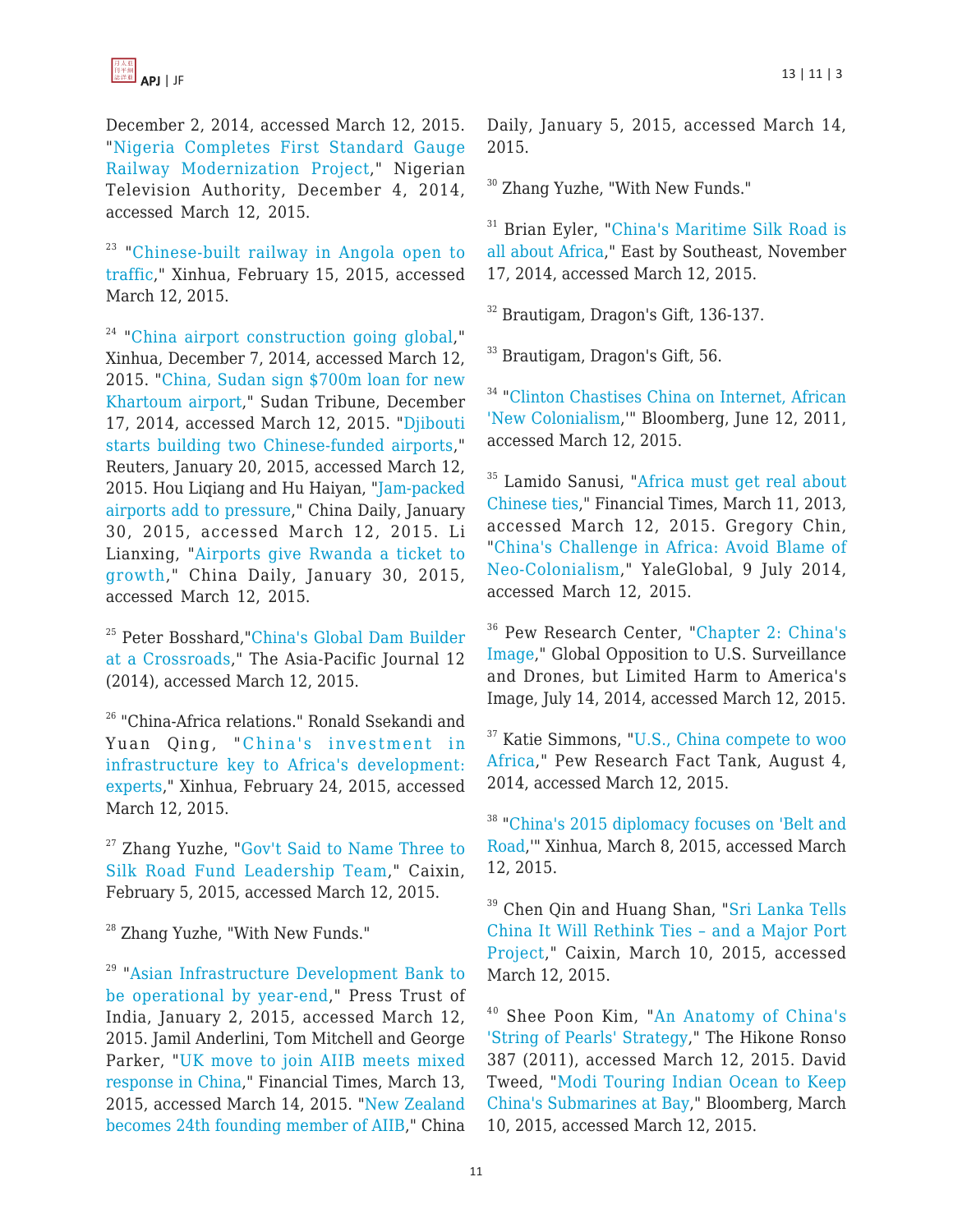

December 2, 2014, accessed March 12, 2015. "[Nigeria Completes First Standard Gauge](http://www.nta.ng/2014/12/04/nigeria-completes-first-standard-gauge-railway-modernization-project/) [Railway Modernization Project,](http://www.nta.ng/2014/12/04/nigeria-completes-first-standard-gauge-railway-modernization-project/)" Nigerian Television Authority, December 4, 2014, accessed March 12, 2015.

<sup>23</sup> "[Chinese-built railway in Angola open to](http://en.people.cn/n/2015/0215/c90883-8850822.html) [traffic,](http://en.people.cn/n/2015/0215/c90883-8850822.html)" Xinhua, February 15, 2015, accessed March 12, 2015.

 $24$  ["China airport construction going global](http://news.xinhuanet.com/english/china/2014-12/07/c_133838498.htm)," Xinhua, December 7, 2014, accessed March 12, 2015. "[China, Sudan sign \\$700m loan for new](http://www.sudantribune.com/spip.php?article53371) [Khartoum airport,](http://www.sudantribune.com/spip.php?article53371)" Sudan Tribune, December 17, 2014, accessed March 12, 2015. ["Djibouti](http://af.reuters.com/article/djiboutiNews/idAFL6N0UZ0PO20150120) [starts building two Chinese-funded airports](http://af.reuters.com/article/djiboutiNews/idAFL6N0UZ0PO20150120)," Reuters, January 20, 2015, accessed March 12, 2015. Hou Liqiang and Hu Haiyan, "[Jam-packed](http://africa.chinadaily.com.cn/weekly/2015-01/30/content_19448564.htm) [airports add to pressure](http://africa.chinadaily.com.cn/weekly/2015-01/30/content_19448564.htm)," China Daily, January 30, 2015, accessed March 12, 2015. Li Lianxing, ["Airports give Rwanda a ticket to](http://africa.chinadaily.com.cn/weekly/2015-01/30/content_19448566.htm) [growth,](http://africa.chinadaily.com.cn/weekly/2015-01/30/content_19448566.htm)" China Daily, January 30, 2015, accessed March 12, 2015.

<sup>25</sup> Peter Bosshard,"[China's Global Dam Builder](http://www.japanfocus.org/-Peter-Bosshard/4243) [at a Crossroads](http://www.japanfocus.org/-Peter-Bosshard/4243)," The Asia-Pacific Journal 12 (2014), accessed March 12, 2015.

<sup>26</sup> "China-Africa relations." Ronald Ssekandi and Yuan Qing, "[China's investment in](http://en.people.cn/n/2015/0224/c90883-8853073.html) [infrastructure key to Africa's development:](http://en.people.cn/n/2015/0224/c90883-8853073.html) [experts](http://en.people.cn/n/2015/0224/c90883-8853073.html)," Xinhua, February 24, 2015, accessed March 12, 2015.

<sup>27</sup> Zhang Yuzhe, "[Gov't Said to Name Three to](http://english.caixin.com/2015-02-05/100781902.html) [Silk Road Fund Leadership Team](http://english.caixin.com/2015-02-05/100781902.html)," Caixin, February 5, 2015, accessed March 12, 2015.

<sup>28</sup> Zhang Yuzhe, "With New Funds."

<sup>29</sup> "[Asian Infrastructure Development Bank to](http://articles.economictimes.indiatimes.com/2015-01-02/news/57611692_1_aiib-asian-infrastructure-investment-bank-brics-development-bank) [be operational by year-end](http://articles.economictimes.indiatimes.com/2015-01-02/news/57611692_1_aiib-asian-infrastructure-investment-bank-brics-development-bank)," Press Trust of India, January 2, 2015, accessed March 12, 2015. Jamil Anderlini, Tom Mitchell and George Parker, ["UK move to join AIIB meets mixed](http://www.ft.com/cms/s/0/c3189416-c965-11e4-a2d9-00144feab7de.html) [response in China](http://www.ft.com/cms/s/0/c3189416-c965-11e4-a2d9-00144feab7de.html)," Financial Times, March 13, 2015, accessed March 14, 2015. ["New Zealand](http://europe.chinadaily.com.cn/business/2015-01/05/content_19239131.htm) [becomes 24th founding member of AIIB](http://europe.chinadaily.com.cn/business/2015-01/05/content_19239131.htm)," China Daily, January 5, 2015, accessed March 14, 2015.

<sup>30</sup> Zhang Yuzhe, "With New Funds."

<sup>31</sup> Brian Eyler, "[China's Maritime Silk Road is](http://www.eastbysoutheast.com/chinas-maritime-silk-road-africa/) [all about Africa](http://www.eastbysoutheast.com/chinas-maritime-silk-road-africa/)," East by Southeast, November 17, 2014, accessed March 12, 2015.

<sup>32</sup> Brautigam, Dragon's Gift, 136-137.

<sup>33</sup> Brautigam, Dragon's Gift, 56.

<sup>34</sup> "[Clinton Chastises China on Internet, African](http://www.bloomberg.com/news/articles/2011-06-11/clinton-chastises-china-on-internet-african-new-colonialism-) ['New Colonialism,](http://www.bloomberg.com/news/articles/2011-06-11/clinton-chastises-china-on-internet-african-new-colonialism-)'" Bloomberg, June 12, 2011, accessed March 12, 2015.

<sup>35</sup> Lamido Sanusi, "[Africa must get real about](http://www.ft.com/cms/s/0/562692b0-898c-11e2-ad3f-00144feabdc0.html) [Chinese ties,](http://www.ft.com/cms/s/0/562692b0-898c-11e2-ad3f-00144feabdc0.html)" Financial Times, March 11, 2013, accessed March 12, 2015. Gregory Chin, "[China's Challenge in Africa: Avoid Blame of](http://yaleglobal.yale.edu/content/china%E2%80%99s-challenge-africa-avoid-blame-neo-colonialism) [Neo-Colonialism,](http://yaleglobal.yale.edu/content/china%E2%80%99s-challenge-africa-avoid-blame-neo-colonialism)" YaleGlobal, 9 July 2014, accessed March 12, 2015.

<sup>36</sup> Pew Research Center, "[Chapter 2: China's](http://www.pewglobal.org/2014/07/14/chapter-2-chinas-image/) [Image](http://www.pewglobal.org/2014/07/14/chapter-2-chinas-image/)," Global Opposition to U.S. Surveillance and Drones, but Limited Harm to America's Image, July 14, 2014, accessed March 12, 2015.

<sup>37</sup> Katie Simmons, ["U.S., China compete to woo](http://www.pewresearch.org/fact-tank/2014/08/04/u-s-china-compete-to-woo-africa/) [Africa](http://www.pewresearch.org/fact-tank/2014/08/04/u-s-china-compete-to-woo-africa/)," Pew Research Fact Tank, August 4, 2014, accessed March 12, 2015.

<sup>38</sup> ["China's 2015 diplomacy focuses on 'Belt and](http://www.globaltimes.cn/content/910765.shtml) [Road,](http://www.globaltimes.cn/content/910765.shtml)'" Xinhua, March 8, 2015, accessed March 12, 2015.

<sup>39</sup> Chen Qin and Huang Shan, "[Sri Lanka Tells](http://english.caixin.com/2015-03-10/100789883.html) [China It Will Rethink Ties – and a Major Port](http://english.caixin.com/2015-03-10/100789883.html) [Project](http://english.caixin.com/2015-03-10/100789883.html)," Caixin, March 10, 2015, accessed March 12, 2015.

<sup>40</sup> Shee Poon Kim, "[An Anatomy of China's](http://www.biwako.shiga-u.ac.jp/eml/Ronso/387/Kim.pdf) ['String of Pearls' Strategy](http://www.biwako.shiga-u.ac.jp/eml/Ronso/387/Kim.pdf)," The Hikone Ronso 387 (2011), accessed March 12, 2015. David Tweed, "[Modi Touring Indian Ocean to Keep](http://www.bloomberg.com/news/articles/2015-03-09/modi-tours-indian-ocean-to-keep-china-and-its-submarines-at-bay) [China's Submarines at Bay](http://www.bloomberg.com/news/articles/2015-03-09/modi-tours-indian-ocean-to-keep-china-and-its-submarines-at-bay)," Bloomberg, March 10, 2015, accessed March 12, 2015.